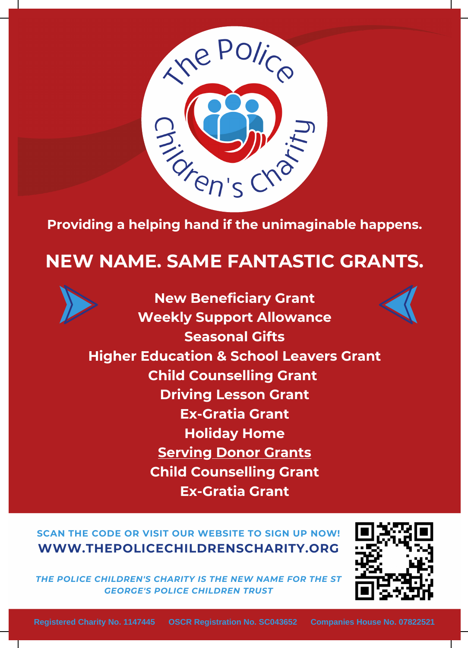

## **Providing a helping hand if the unimaginable happens.**

## **NEW NAME. SAME FANTASTIC GRANTS.**



**SCAN THE CODE OR VISIT OUR WEBSITE TO SIGN UP NOW! WWW.THEPOLICECHILDRENSCHARITY.ORG**

*THE POLICE CHILDREN'S CHARITY IS THE NEW NAME FOR THE ST GEORGE'S POLICE CHILDREN TRUST*